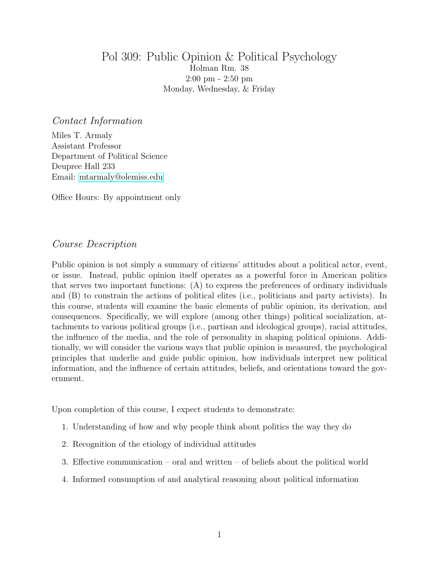# Pol 309: Public Opinion & Political Psychology Holman Rm. 38 2:00 pm - 2:50 pm Monday, Wednesday, & Friday

#### Contact Information

Miles T. Armaly Assistant Professor Department of Political Science Deupree Hall 233 Email: [mtarmaly@olemiss.edu](mailto:mtarmaly@olemiss.edu)

Office Hours: By appointment only

## Course Description

Public opinion is not simply a summary of citizens' attitudes about a political actor, event, or issue. Instead, public opinion itself operates as a powerful force in American politics that serves two important functions: (A) to express the preferences of ordinary individuals and (B) to constrain the actions of political elites (i.e., politicians and party activists). In this course, students will examine the basic elements of public opinion, its derivation, and consequences. Specifically, we will explore (among other things) political socialization, attachments to various political groups (i.e., partisan and ideological groups), racial attitudes, the influence of the media, and the role of personality in shaping political opinions. Additionally, we will consider the various ways that public opinion is measured, the psychological principles that underlie and guide public opinion, how individuals interpret new political information, and the influence of certain attitudes, beliefs, and orientations toward the government.

Upon completion of this course, I expect students to demonstrate:

- 1. Understanding of how and why people think about politics the way they do
- 2. Recognition of the etiology of individual attitudes
- 3. Effective communication oral and written of beliefs about the political world
- 4. Informed consumption of and analytical reasoning about political information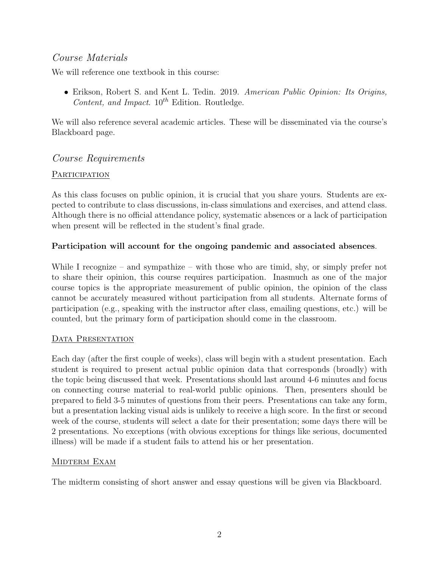# Course Materials

We will reference one textbook in this course:

• Erikson, Robert S. and Kent L. Tedin. 2019. American Public Opinion: Its Origins, Content, and Impact.  $10^{th}$  Edition. Routledge.

We will also reference several academic articles. These will be disseminated via the course's Blackboard page.

# Course Requirements

## PARTICIPATION

As this class focuses on public opinion, it is crucial that you share yours. Students are expected to contribute to class discussions, in-class simulations and exercises, and attend class. Although there is no official attendance policy, systematic absences or a lack of participation when present will be reflected in the student's final grade.

## Participation will account for the ongoing pandemic and associated absences.

While I recognize – and sympathize – with those who are timid, shy, or simply prefer not to share their opinion, this course requires participation. Inasmuch as one of the major course topics is the appropriate measurement of public opinion, the opinion of the class cannot be accurately measured without participation from all students. Alternate forms of participation (e.g., speaking with the instructor after class, emailing questions, etc.) will be counted, but the primary form of participation should come in the classroom.

## DATA PRESENTATION

Each day (after the first couple of weeks), class will begin with a student presentation. Each student is required to present actual public opinion data that corresponds (broadly) with the topic being discussed that week. Presentations should last around 4-6 minutes and focus on connecting course material to real-world public opinions. Then, presenters should be prepared to field 3-5 minutes of questions from their peers. Presentations can take any form, but a presentation lacking visual aids is unlikely to receive a high score. In the first or second week of the course, students will select a date for their presentation; some days there will be 2 presentations. No exceptions (with obvious exceptions for things like serious, documented illness) will be made if a student fails to attend his or her presentation.

## MIDTERM EXAM

The midterm consisting of short answer and essay questions will be given via Blackboard.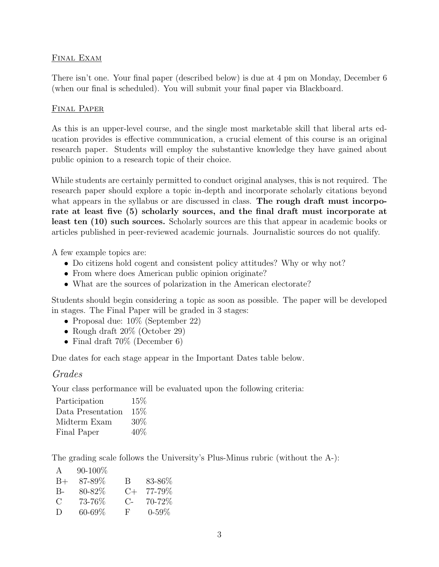#### FINAL EXAM

There isn't one. Your final paper (described below) is due at 4 pm on Monday, December 6 (when our final is scheduled). You will submit your final paper via Blackboard.

#### Final Paper

As this is an upper-level course, and the single most marketable skill that liberal arts education provides is effective communication, a crucial element of this course is an original research paper. Students will employ the substantive knowledge they have gained about public opinion to a research topic of their choice.

While students are certainly permitted to conduct original analyses, this is not required. The research paper should explore a topic in-depth and incorporate scholarly citations beyond what appears in the syllabus or are discussed in class. The rough draft must incorporate at least five (5) scholarly sources, and the final draft must incorporate at least ten (10) such sources. Scholarly sources are this that appear in academic books or articles published in peer-reviewed academic journals. Journalistic sources do not qualify.

A few example topics are:

- Do citizens hold cogent and consistent policy attitudes? Why or why not?
- From where does American public opinion originate?
- What are the sources of polarization in the American electorate?

Students should begin considering a topic as soon as possible. The paper will be developed in stages. The Final Paper will be graded in 3 stages:

- Proposal due:  $10\%$  (September 22)
- Rough draft  $20\%$  (October 29)
- Final draft  $70\%$  (December 6)

Due dates for each stage appear in the Important Dates table below.

## Grades

Your class performance will be evaluated upon the following criteria:

| Participation     | 15% |
|-------------------|-----|
| Data Presentation | 15% |
| Midterm Exam      | 30% |
| Final Paper       | 40% |

The grading scale follows the University's Plus-Minus rubric (without the A-):

| A             | $90 - 100\%$ |           |            |
|---------------|--------------|-----------|------------|
| $B+$          | 87-89%       | B         | 83-86%     |
| $B -$         | 80-82%       | $C+$      | 77-79%     |
| $\mathcal{C}$ | 73-76%       | $C_{\pm}$ | 70-72%     |
| $\Box$        | $60 - 69\%$  | F         | $0 - 59\%$ |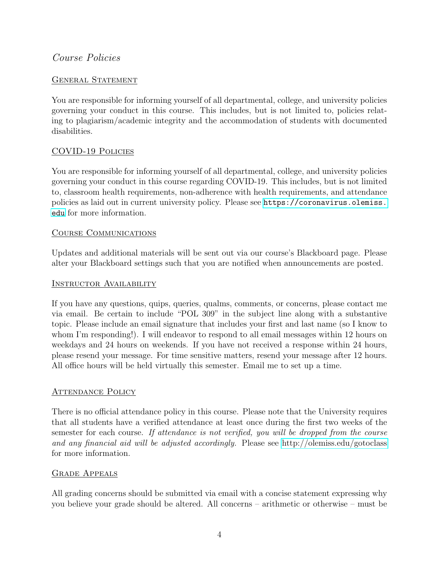# Course Policies

#### GENERAL STATEMENT

You are responsible for informing yourself of all departmental, college, and university policies governing your conduct in this course. This includes, but is not limited to, policies relating to plagiarism/academic integrity and the accommodation of students with documented disabilities.

## COVID-19 Policies

You are responsible for informing yourself of all departmental, college, and university policies governing your conduct in this course regarding COVID-19. This includes, but is not limited to, classroom health requirements, non-adherence with health requirements, and attendance policies as laid out in current university policy. Please see [https://coronavirus.olemiss.](https://coronavirus.olemiss.edu) [edu](https://coronavirus.olemiss.edu) for more information.

#### Course Communications

Updates and additional materials will be sent out via our course's Blackboard page. Please alter your Blackboard settings such that you are notified when announcements are posted.

#### Instructor Availability

If you have any questions, quips, queries, qualms, comments, or concerns, please contact me via email. Be certain to include "POL 309" in the subject line along with a substantive topic. Please include an email signature that includes your first and last name (so I know to whom I'm responding!). I will endeavor to respond to all email messages within 12 hours on weekdays and 24 hours on weekends. If you have not received a response within 24 hours, please resend your message. For time sensitive matters, resend your message after 12 hours. All office hours will be held virtually this semester. Email me to set up a time.

## ATTENDANCE POLICY

There is no official attendance policy in this course. Please note that the University requires that all students have a verified attendance at least once during the first two weeks of the semester for each course. If attendance is not verified, you will be dropped from the course and any financial aid will be adjusted accordingly. Please see<http://olemiss.edu/gotoclass> for more information.

#### Grade Appeals

All grading concerns should be submitted via email with a concise statement expressing why you believe your grade should be altered. All concerns – arithmetic or otherwise – must be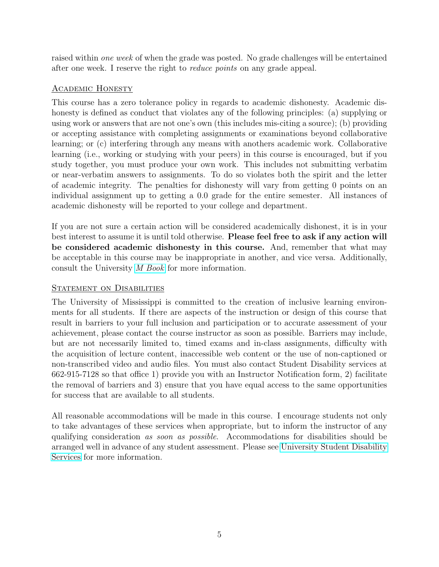raised within *one week* of when the grade was posted. No grade challenges will be entertained after one week. I reserve the right to reduce points on any grade appeal.

## Academic Honesty

This course has a zero tolerance policy in regards to academic dishonesty. Academic dishonesty is defined as conduct that violates any of the following principles: (a) supplying or using work or answers that are not one's own (this includes mis-citing a source); (b) providing or accepting assistance with completing assignments or examinations beyond collaborative learning; or (c) interfering through any means with anothers academic work. Collaborative learning (i.e., working or studying with your peers) in this course is encouraged, but if you study together, you must produce your own work. This includes not submitting verbatim or near-verbatim answers to assignments. To do so violates both the spirit and the letter of academic integrity. The penalties for dishonesty will vary from getting 0 points on an individual assignment up to getting a 0.0 grade for the entire semester. All instances of academic dishonesty will be reported to your college and department.

If you are not sure a certain action will be considered academically dishonest, it is in your best interest to assume it is until told otherwise. Please feel free to ask if any action will be considered academic dishonesty in this course. And, remember that what may be acceptable in this course may be inappropriate in another, and vice versa. Additionally, consult the University [M Book](http://conflictresolution.olemiss.edu/wp-content/uploads/sites/2/2014/09/MBOOK20153.pdf) for more information.

#### STATEMENT ON DISABILITIES

The University of Mississippi is committed to the creation of inclusive learning environments for all students. If there are aspects of the instruction or design of this course that result in barriers to your full inclusion and participation or to accurate assessment of your achievement, please contact the course instructor as soon as possible. Barriers may include, but are not necessarily limited to, timed exams and in-class assignments, difficulty with the acquisition of lecture content, inaccessible web content or the use of non-captioned or non-transcribed video and audio files. You must also contact Student Disability services at 662-915-7128 so that office 1) provide you with an Instructor Notification form, 2) facilitate the removal of barriers and 3) ensure that you have equal access to the same opportunities for success that are available to all students.

All reasonable accommodations will be made in this course. I encourage students not only to take advantages of these services when appropriate, but to inform the instructor of any qualifying consideration as soon as possible. Accommodations for disabilities should be arranged well in advance of any student assessment. Please see [University Student Disability](sds.olemiss.edu) [Services](sds.olemiss.edu) for more information.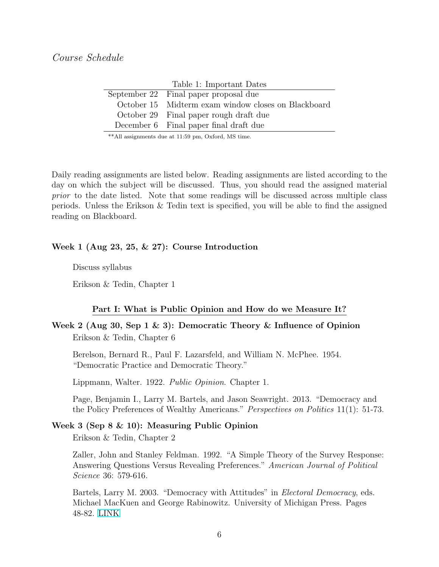| Lable 1. Important Dates |                                                     |  |
|--------------------------|-----------------------------------------------------|--|
|                          | September 22 Final paper proposal due               |  |
|                          | October 15 Midterm exam window closes on Blackboard |  |
|                          | October 29 Final paper rough draft due              |  |
|                          | December 6 Final paper final draft due              |  |
|                          |                                                     |  |

Table 1: Important Dates

\*\*All assignments due at 11:59 pm, Oxford, MS time.

Daily reading assignments are listed below. Reading assignments are listed according to the day on which the subject will be discussed. Thus, you should read the assigned material prior to the date listed. Note that some readings will be discussed across multiple class periods. Unless the Erikson & Tedin text is specified, you will be able to find the assigned reading on Blackboard.

#### Week 1 (Aug 23, 25, & 27): Course Introduction

Discuss syllabus

Erikson & Tedin, Chapter 1

#### Part I: What is Public Opinion and How do we Measure It?

## Week 2 (Aug 30, Sep 1 & 3): Democratic Theory & Influence of Opinion Erikson & Tedin, Chapter 6

Berelson, Bernard R., Paul F. Lazarsfeld, and William N. McPhee. 1954. "Democratic Practice and Democratic Theory."

Lippmann, Walter. 1922. Public Opinion. Chapter 1.

Page, Benjamin I., Larry M. Bartels, and Jason Seawright. 2013. "Democracy and the Policy Preferences of Wealthy Americans." Perspectives on Politics 11(1): 51-73.

#### Week 3 (Sep 8 & 10): Measuring Public Opinion

Erikson & Tedin, Chapter 2

Zaller, John and Stanley Feldman. 1992. "A Simple Theory of the Survey Response: Answering Questions Versus Revealing Preferences." American Journal of Political Science 36: 579-616.

Bartels, Larry M. 2003. "Democracy with Attitudes" in Electoral Democracy, eds. Michael MacKuen and George Rabinowitz. University of Michigan Press. Pages 48-82. [LINK](https://bit.ly/2rSyzzJ)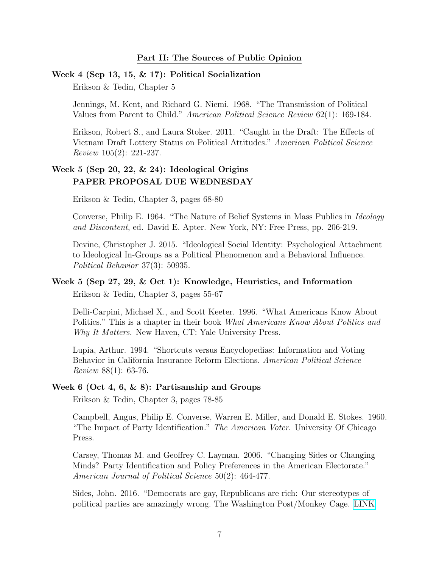#### Week 4 (Sep 13, 15, & 17): Political Socialization

Erikson & Tedin, Chapter 5

Jennings, M. Kent, and Richard G. Niemi. 1968. "The Transmission of Political Values from Parent to Child." American Political Science Review 62(1): 169-184.

Erikson, Robert S., and Laura Stoker. 2011. "Caught in the Draft: The Effects of Vietnam Draft Lottery Status on Political Attitudes." American Political Science Review 105(2): 221-237.

## Week 5 (Sep 20, 22, & 24): Ideological Origins PAPER PROPOSAL DUE WEDNESDAY

Erikson & Tedin, Chapter 3, pages 68-80

Converse, Philip E. 1964. "The Nature of Belief Systems in Mass Publics in Ideology and Discontent, ed. David E. Apter. New York, NY: Free Press, pp. 206-219.

Devine, Christopher J. 2015. "Ideological Social Identity: Psychological Attachment to Ideological In-Groups as a Political Phenomenon and a Behavioral Influence. Political Behavior 37(3): 50935.

# Week 5 (Sep 27, 29, & Oct 1): Knowledge, Heuristics, and Information

Erikson & Tedin, Chapter 3, pages 55-67

Delli-Carpini, Michael X., and Scott Keeter. 1996. "What Americans Know About Politics." This is a chapter in their book What Americans Know About Politics and Why It Matters. New Haven, CT: Yale University Press.

Lupia, Arthur. 1994. "Shortcuts versus Encyclopedias: Information and Voting Behavior in California Insurance Reform Elections. American Political Science Review 88(1): 63-76.

#### Week 6 (Oct 4, 6, & 8): Partisanship and Groups

Erikson & Tedin, Chapter 3, pages 78-85

Campbell, Angus, Philip E. Converse, Warren E. Miller, and Donald E. Stokes. 1960. "The Impact of Party Identification." The American Voter. University Of Chicago Press.

Carsey, Thomas M. and Geoffrey C. Layman. 2006. "Changing Sides or Changing Minds? Party Identification and Policy Preferences in the American Electorate." American Journal of Political Science 50(2): 464-477.

Sides, John. 2016. "Democrats are gay, Republicans are rich: Our stereotypes of political parties are amazingly wrong. The Washington Post/Monkey Cage. [LINK](https://www.washingtonpost.com/news/monkey-cage/wp/2016/05/23/democrats-are-gay-republicans-are-rich-our-stereotypes-of-political-parties-are-amazingly-wrong/?utm_term=.19add46a90c8)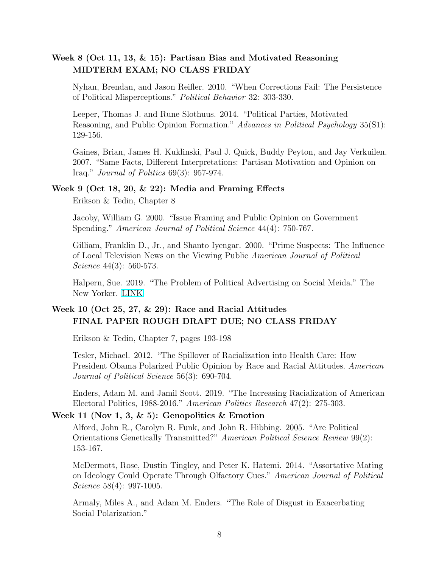## Week 8 (Oct 11, 13, & 15): Partisan Bias and Motivated Reasoning MIDTERM EXAM; NO CLASS FRIDAY

Nyhan, Brendan, and Jason Reifler. 2010. "When Corrections Fail: The Persistence of Political Misperceptions." Political Behavior 32: 303-330.

Leeper, Thomas J. and Rune Slothuus. 2014. "Political Parties, Motivated Reasoning, and Public Opinion Formation." Advances in Political Psychology 35(S1): 129-156.

Gaines, Brian, James H. Kuklinski, Paul J. Quick, Buddy Peyton, and Jay Verkuilen. 2007. "Same Facts, Different Interpretations: Partisan Motivation and Opinion on Iraq." Journal of Politics 69(3): 957-974.

#### Week 9 (Oct 18, 20, & 22): Media and Framing Effects

Erikson & Tedin, Chapter 8

Jacoby, William G. 2000. "Issue Framing and Public Opinion on Government Spending." American Journal of Political Science 44(4): 750-767.

Gilliam, Franklin D., Jr., and Shanto Iyengar. 2000. "Prime Suspects: The Influence of Local Television News on the Viewing Public American Journal of Political Science 44(3): 560-573.

Halpern, Sue. 2019. "The Problem of Political Advertising on Social Meida." The New Yorker. [LINK](https://www.newyorker.com/tech/annals-of-technology/the-problem-of-political-advertising-on-social-media)

## Week 10 (Oct 25, 27, & 29): Race and Racial Attitudes FINAL PAPER ROUGH DRAFT DUE; NO CLASS FRIDAY

Erikson & Tedin, Chapter 7, pages 193-198

Tesler, Michael. 2012. "The Spillover of Racialization into Health Care: How President Obama Polarized Public Opinion by Race and Racial Attitudes. American Journal of Political Science 56(3): 690-704.

Enders, Adam M. and Jamil Scott. 2019. "The Increasing Racialization of American Electoral Politics, 1988-2016." American Politics Research 47(2): 275-303.

#### Week 11 (Nov 1, 3,  $\&$  5): Genopolitics  $\&$  Emotion

Alford, John R., Carolyn R. Funk, and John R. Hibbing. 2005. "Are Political Orientations Genetically Transmitted?" American Political Science Review 99(2): 153-167.

McDermott, Rose, Dustin Tingley, and Peter K. Hatemi. 2014. "Assortative Mating on Ideology Could Operate Through Olfactory Cues." American Journal of Political Science 58(4): 997-1005.

Armaly, Miles A., and Adam M. Enders. "The Role of Disgust in Exacerbating Social Polarization."